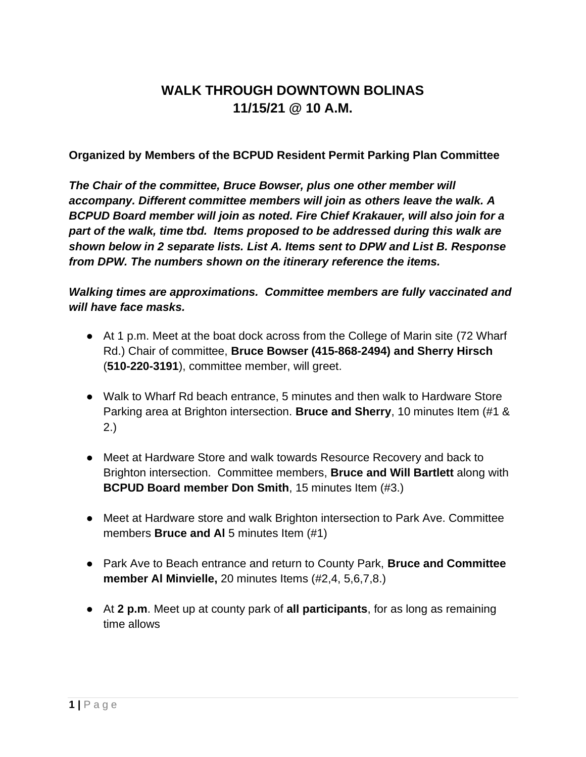# **WALK THROUGH DOWNTOWN BOLINAS 11/15/21 @ 10 A.M.**

**Organized by Members of the BCPUD Resident Permit Parking Plan Committee**

*The Chair of the committee, Bruce Bowser, plus one other member will accompany. Different committee members will join as others leave the walk. A BCPUD Board member will join as noted. Fire Chief Krakauer, will also join for a part of the walk, time tbd. Items proposed to be addressed during this walk are shown below in 2 separate lists. List A. Items sent to DPW and List B. Response from DPW. The numbers shown on the itinerary reference the items.*

*Walking times are approximations. Committee members are fully vaccinated and will have face masks.* 

- At 1 p.m. Meet at the boat dock across from the College of Marin site (72 Wharf Rd.) Chair of committee, **Bruce Bowser (415-868-2494) and Sherry Hirsch** (**510-220-3191**), committee member, will greet.
- Walk to Wharf Rd beach entrance, 5 minutes and then walk to Hardware Store Parking area at Brighton intersection. **Bruce and Sherry**, 10 minutes Item (#1 & 2.)
- Meet at Hardware Store and walk towards Resource Recovery and back to Brighton intersection. Committee members, **Bruce and Will Bartlett** along with **BCPUD Board member Don Smith**, 15 minutes Item (#3.)
- Meet at Hardware store and walk Brighton intersection to Park Ave. Committee members **Bruce and Al** 5 minutes Item (#1)
- Park Ave to Beach entrance and return to County Park, **Bruce and Committee member Al Minvielle,** 20 minutes Items (#2,4, 5,6,7,8.)
- At **2 p.m**. Meet up at county park of **all participants**, for as long as remaining time allows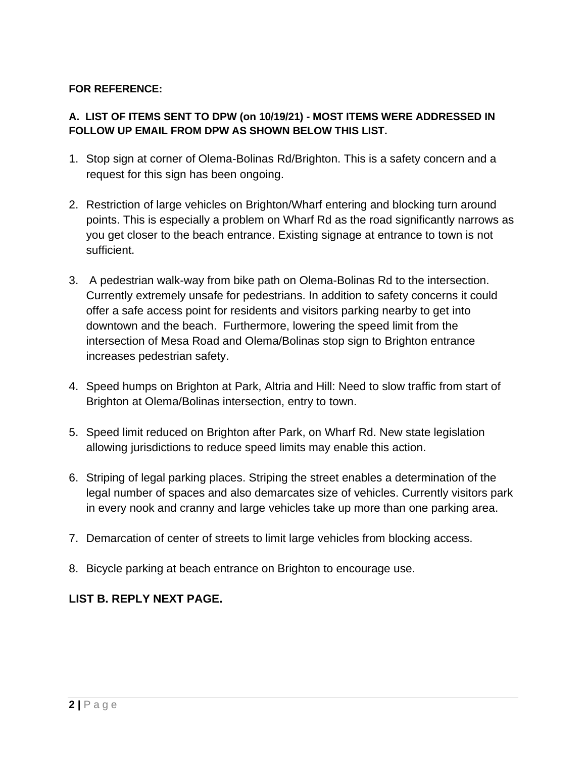#### **FOR REFERENCE:**

#### **A. LIST OF ITEMS SENT TO DPW (on 10/19/21) - MOST ITEMS WERE ADDRESSED IN FOLLOW UP EMAIL FROM DPW AS SHOWN BELOW THIS LIST.**

- 1. Stop sign at corner of Olema-Bolinas Rd/Brighton. This is a safety concern and a request for this sign has been ongoing.
- 2. Restriction of large vehicles on Brighton/Wharf entering and blocking turn around points. This is especially a problem on Wharf Rd as the road significantly narrows as you get closer to the beach entrance. Existing signage at entrance to town is not sufficient.
- 3. A pedestrian walk-way from bike path on Olema-Bolinas Rd to the intersection. Currently extremely unsafe for pedestrians. In addition to safety concerns it could offer a safe access point for residents and visitors parking nearby to get into downtown and the beach. Furthermore, lowering the speed limit from the intersection of Mesa Road and Olema/Bolinas stop sign to Brighton entrance increases pedestrian safety.
- 4. Speed humps on Brighton at Park, Altria and Hill: Need to slow traffic from start of Brighton at Olema/Bolinas intersection, entry to town.
- 5. Speed limit reduced on Brighton after Park, on Wharf Rd. New state legislation allowing jurisdictions to reduce speed limits may enable this action.
- 6. Striping of legal parking places. Striping the street enables a determination of the legal number of spaces and also demarcates size of vehicles. Currently visitors park in every nook and cranny and large vehicles take up more than one parking area.
- 7. Demarcation of center of streets to limit large vehicles from blocking access.
- 8. Bicycle parking at beach entrance on Brighton to encourage use.

### **LIST B. REPLY NEXT PAGE.**